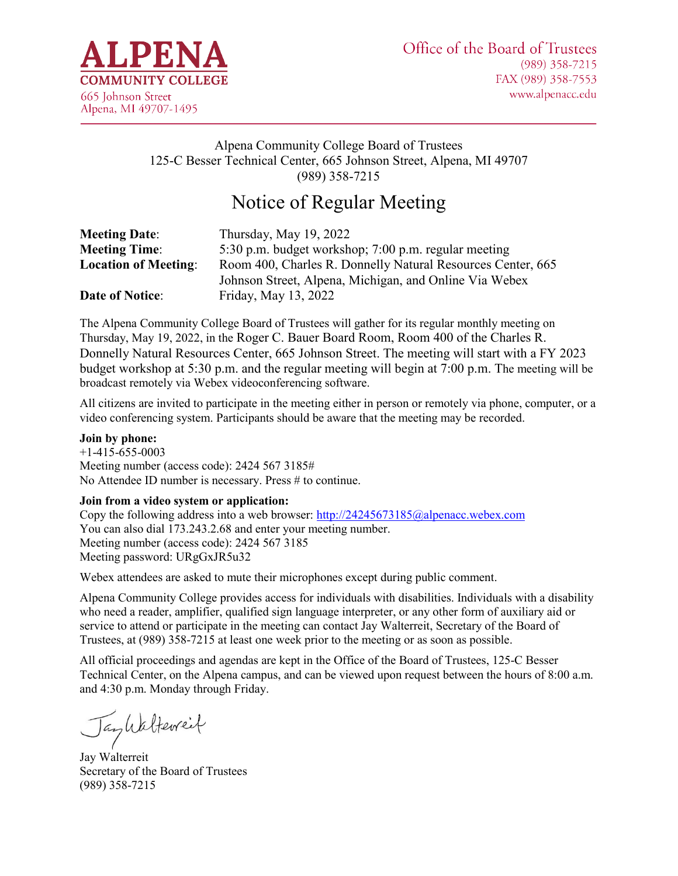

### Alpena Community College Board of Trustees 125-C Besser Technical Center, 665 Johnson Street, Alpena, MI 49707 (989) 358-7215

# Notice of Regular Meeting

| <b>Meeting Date:</b>        | Thursday, May 19, 2022                                      |
|-----------------------------|-------------------------------------------------------------|
| <b>Meeting Time:</b>        | 5:30 p.m. budget workshop; 7:00 p.m. regular meeting        |
| <b>Location of Meeting:</b> | Room 400, Charles R. Donnelly Natural Resources Center, 665 |
|                             | Johnson Street, Alpena, Michigan, and Online Via Webex      |
| <b>Date of Notice:</b>      | Friday, May 13, 2022                                        |

The Alpena Community College Board of Trustees will gather for its regular monthly meeting on Thursday, May 19, 2022, in the Roger C. Bauer Board Room, Room 400 of the Charles R. Donnelly Natural Resources Center, 665 Johnson Street. The meeting will start with a FY 2023 budget workshop at 5:30 p.m. and the regular meeting will begin at 7:00 p.m. The meeting will be broadcast remotely via Webex videoconferencing software.

All citizens are invited to participate in the meeting either in person or remotely via phone, computer, or a video conferencing system. Participants should be aware that the meeting may be recorded.

#### **Join by phone:**

 $+1-415-655-0003$ Meeting number (access code): 2424 567 3185# No Attendee ID number is necessary. Press # to continue.

#### **Join from a video system or application:**

Copy the following address into a web browser:<http://24245673185@alpenacc.webex.com> You can also dial 173.243.2.68 and enter your meeting number. Meeting number (access code): 2424 567 3185 Meeting password: URgGxJR5u32

Webex attendees are asked to mute their microphones except during public comment.

Alpena Community College provides access for individuals with disabilities. Individuals with a disability who need a reader, amplifier, qualified sign language interpreter, or any other form of auxiliary aid or service to attend or participate in the meeting can contact Jay Walterreit, Secretary of the Board of Trustees, at (989) 358-7215 at least one week prior to the meeting or as soon as possible.

All official proceedings and agendas are kept in the Office of the Board of Trustees, 125-C Besser Technical Center, on the Alpena campus, and can be viewed upon request between the hours of 8:00 a.m. and 4:30 p.m. Monday through Friday.

Tayliatterreit

Jay Walterreit Secretary of the Board of Trustees (989) 358-7215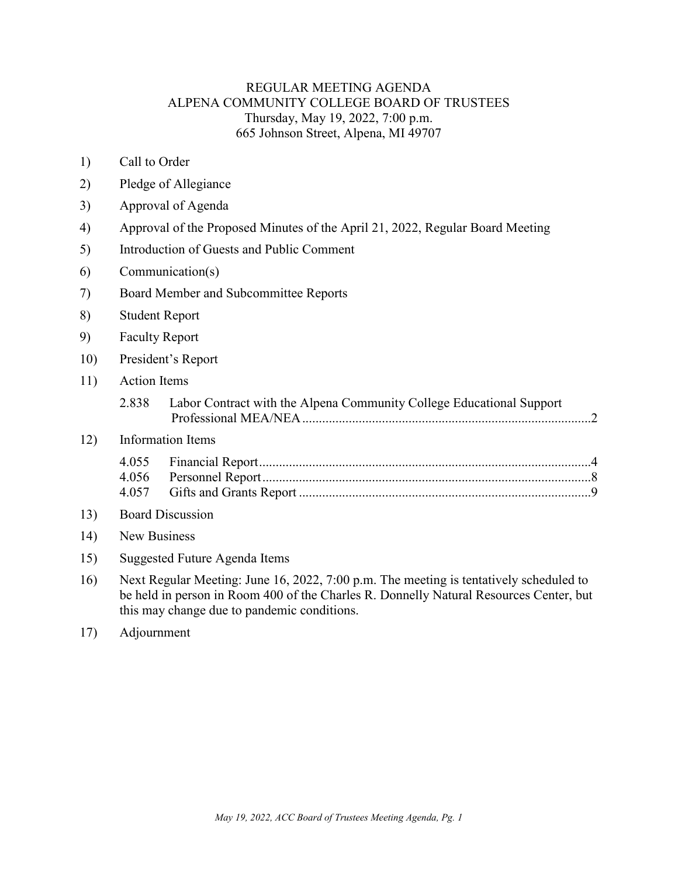### REGULAR MEETING AGENDA ALPENA COMMUNITY COLLEGE BOARD OF TRUSTEES Thursday, May 19, 2022, 7:00 p.m. 665 Johnson Street, Alpena, MI 49707

- 1) Call to Order
- 2) Pledge of Allegiance
- 3) Approval of Agenda
- 4) Approval of the Proposed Minutes of the April 21, 2022, Regular Board Meeting
- 5) Introduction of Guests and Public Comment
- 6) Communication(s)
- 7) Board Member and Subcommittee Reports
- 8) Student Report
- 9) Faculty Report
- 10) President's Report
- 11) Action Items

| 2.838 | Labor Contract with the Alpena Community College Educational Support |
|-------|----------------------------------------------------------------------|
|       |                                                                      |

### 12) Information Items

#### 13) Board Discussion

- 14) New Business
- 15) Suggested Future Agenda Items
- 16) Next Regular Meeting: June 16, 2022, 7:00 p.m. The meeting is tentatively scheduled to be held in person in Room 400 of the Charles R. Donnelly Natural Resources Center, but this may change due to pandemic conditions.
- 17) Adjournment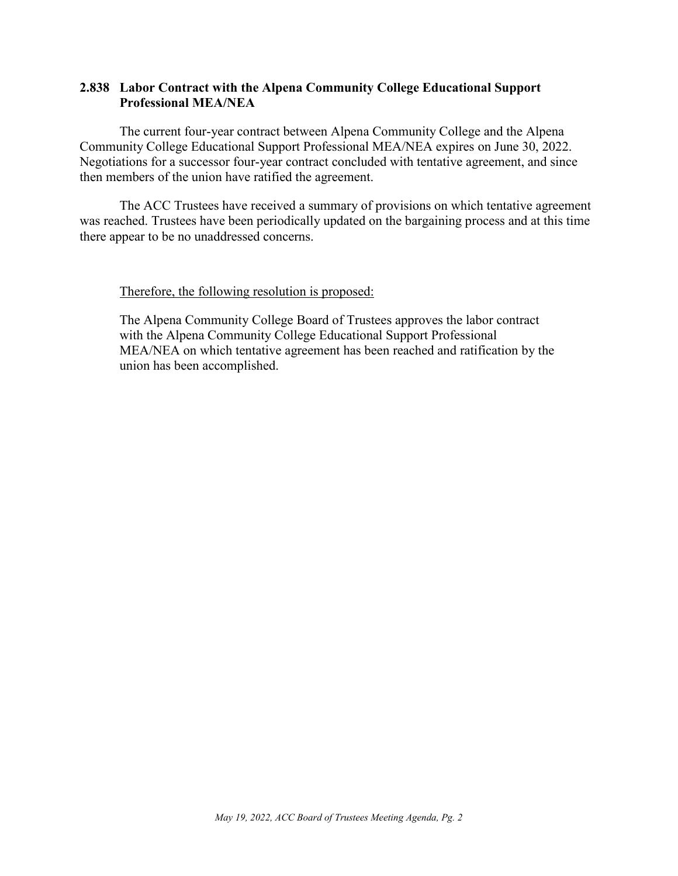### <span id="page-2-0"></span>**2.838 Labor Contract with the Alpena Community College Educational Support Professional MEA/NEA**

The current four-year contract between Alpena Community College and the Alpena Community College Educational Support Professional MEA/NEA expires on June 30, 2022. Negotiations for a successor four-year contract concluded with tentative agreement, and since then members of the union have ratified the agreement.

The ACC Trustees have received a summary of provisions on which tentative agreement was reached. Trustees have been periodically updated on the bargaining process and at this time there appear to be no unaddressed concerns.

#### Therefore, the following resolution is proposed:

The Alpena Community College Board of Trustees approves the labor contract with the Alpena Community College Educational Support Professional MEA/NEA on which tentative agreement has been reached and ratification by the union has been accomplished.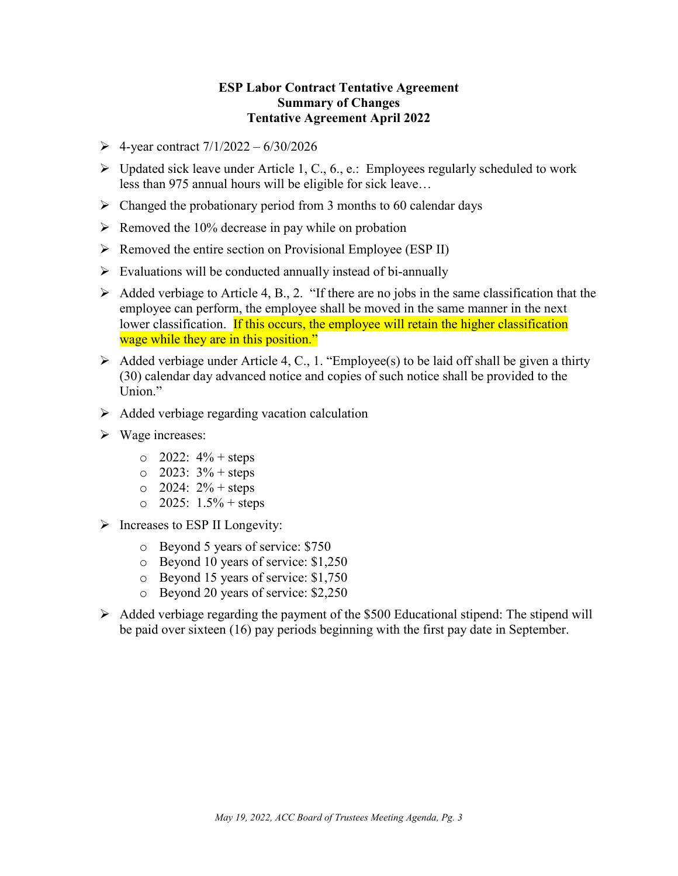### **ESP Labor Contract Tentative Agreement Summary of Changes Tentative Agreement April 2022**

- $\geq 4$ -year contract  $7/1/2022 6/30/2026$
- $\triangleright$  Updated sick leave under Article 1, C., 6., e.: Employees regularly scheduled to work less than 975 annual hours will be eligible for sick leave…
- $\triangleright$  Changed the probationary period from 3 months to 60 calendar days
- $\triangleright$  Removed the 10% decrease in pay while on probation
- $\triangleright$  Removed the entire section on Provisional Employee (ESP II)
- $\triangleright$  Evaluations will be conducted annually instead of bi-annually
- $\triangleright$  Added verbiage to Article 4, B., 2. "If there are no jobs in the same classification that the employee can perform, the employee shall be moved in the same manner in the next lower classification. If this occurs, the employee will retain the higher classification wage while they are in this position."
- $\triangleright$  Added verbiage under Article 4, C., 1. "Employee(s) to be laid off shall be given a thirty (30) calendar day advanced notice and copies of such notice shall be provided to the Union."
- $\triangleright$  Added verbiage regarding vacation calculation
- Wage increases:
	- $\circ$  2022:  $4\%$  + steps
	- $\circ$  2023: 3% + steps
	- $\circ$  2024: 2% + steps
	- $\circ$  2025: 1.5% + steps
- $\triangleright$  Increases to ESP II Longevity:
	- o Beyond 5 years of service: \$750
	- o Beyond 10 years of service: \$1,250
	- o Beyond 15 years of service: \$1,750
	- o Beyond 20 years of service: \$2,250
- $\triangleright$  Added verbiage regarding the payment of the \$500 Educational stipend: The stipend will be paid over sixteen (16) pay periods beginning with the first pay date in September.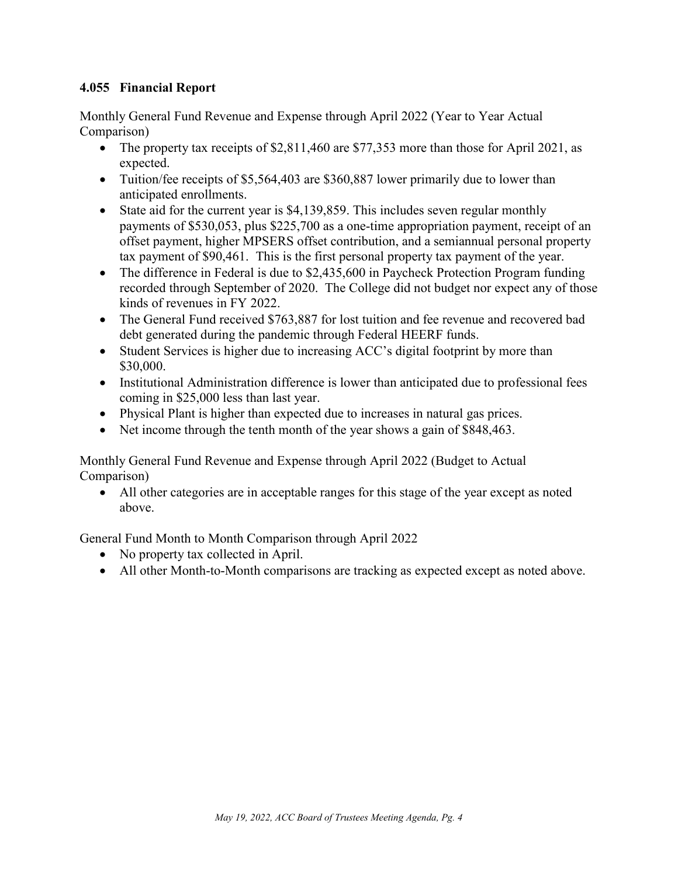### <span id="page-4-0"></span>**4.055 Financial Report**

Monthly General Fund Revenue and Expense through April 2022 (Year to Year Actual Comparison)

- The property tax receipts of \$2,811,460 are \$77,353 more than those for April 2021, as expected.
- Tuition/fee receipts of \$5,564,403 are \$360,887 lower primarily due to lower than anticipated enrollments.
- State aid for the current year is \$4,139,859. This includes seven regular monthly payments of \$530,053, plus \$225,700 as a one-time appropriation payment, receipt of an offset payment, higher MPSERS offset contribution, and a semiannual personal property tax payment of \$90,461. This is the first personal property tax payment of the year.
- The difference in Federal is due to \$2,435,600 in Paycheck Protection Program funding recorded through September of 2020. The College did not budget nor expect any of those kinds of revenues in FY 2022.
- The General Fund received \$763,887 for lost tuition and fee revenue and recovered bad debt generated during the pandemic through Federal HEERF funds.
- Student Services is higher due to increasing ACC's digital footprint by more than \$30,000.
- Institutional Administration difference is lower than anticipated due to professional fees coming in \$25,000 less than last year.
- Physical Plant is higher than expected due to increases in natural gas prices.
- Net income through the tenth month of the year shows a gain of \$848,463.

Monthly General Fund Revenue and Expense through April 2022 (Budget to Actual Comparison)

• All other categories are in acceptable ranges for this stage of the year except as noted above.

General Fund Month to Month Comparison through April 2022

- No property tax collected in April.
- All other Month-to-Month comparisons are tracking as expected except as noted above.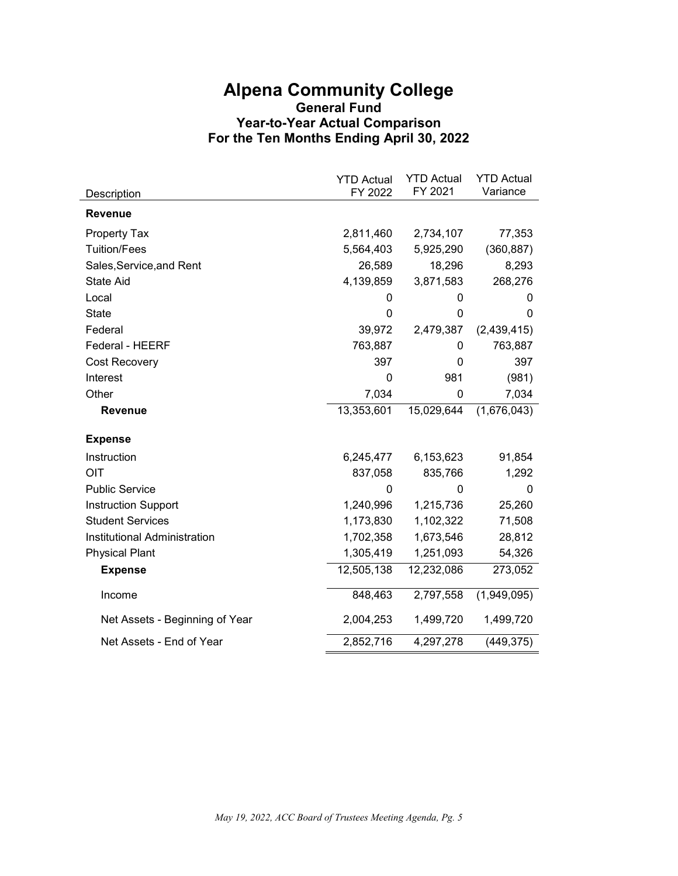# **Alpena Community College General Fund Year-to-Year Actual Comparison For the Ten Months Ending April 30, 2022**

|                                | <b>YTD Actual</b> | <b>YTD Actual</b> | <b>YTD Actual</b> |
|--------------------------------|-------------------|-------------------|-------------------|
| Description                    | FY 2022           | FY 2021           | Variance          |
| <b>Revenue</b>                 |                   |                   |                   |
| <b>Property Tax</b>            | 2,811,460         | 2,734,107         | 77,353            |
| <b>Tuition/Fees</b>            | 5,564,403         | 5,925,290         | (360, 887)        |
| Sales, Service, and Rent       | 26,589            | 18,296            | 8,293             |
| <b>State Aid</b>               | 4,139,859         | 3,871,583         | 268,276           |
| Local                          | 0                 | 0                 | 0                 |
| <b>State</b>                   | 0                 | 0                 | 0                 |
| Federal                        | 39,972            | 2,479,387         | (2,439,415)       |
| Federal - HEERF                | 763,887           | 0                 | 763,887           |
| Cost Recovery                  | 397               | 0                 | 397               |
| Interest                       | 0                 | 981               | (981)             |
| Other                          | 7,034             | 0                 | 7,034             |
| <b>Revenue</b>                 | 13,353,601        | 15,029,644        | (1,676,043)       |
| <b>Expense</b>                 |                   |                   |                   |
| Instruction                    | 6,245,477         | 6,153,623         | 91,854            |
| OIT                            | 837,058           | 835,766           | 1,292             |
| <b>Public Service</b>          | 0                 | O                 | 0                 |
| <b>Instruction Support</b>     | 1,240,996         | 1,215,736         | 25,260            |
| <b>Student Services</b>        | 1,173,830         | 1,102,322         | 71,508            |
| Institutional Administration   | 1,702,358         | 1,673,546         | 28,812            |
| <b>Physical Plant</b>          | 1,305,419         | 1,251,093         | 54,326            |
| <b>Expense</b>                 | 12,505,138        | 12,232,086        | 273,052           |
| Income                         | 848,463           | 2,797,558         | (1,949,095)       |
| Net Assets - Beginning of Year | 2,004,253         | 1,499,720         | 1,499,720         |
| Net Assets - End of Year       | 2,852,716         | 4,297,278         | (449, 375)        |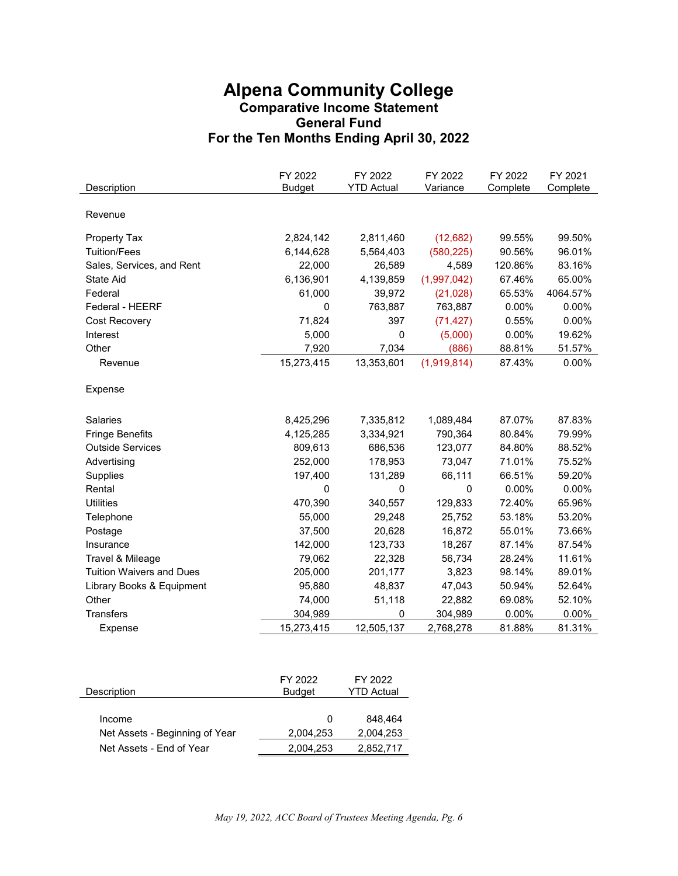# **Alpena Community College Comparative Income Statement General Fund For the Ten Months Ending April 30, 2022**

| Description                     | FY 2022<br><b>Budget</b> | FY 2022<br><b>YTD Actual</b> | FY 2022<br>Variance | FY 2022<br>Complete | FY 2021<br>Complete |
|---------------------------------|--------------------------|------------------------------|---------------------|---------------------|---------------------|
|                                 |                          |                              |                     |                     |                     |
| Revenue                         |                          |                              |                     |                     |                     |
|                                 |                          |                              |                     |                     |                     |
| <b>Property Tax</b>             | 2,824,142                | 2,811,460                    | (12,682)            | 99.55%              | 99.50%              |
| <b>Tuition/Fees</b>             | 6,144,628                | 5,564,403                    | (580, 225)          | 90.56%              | 96.01%              |
| Sales, Services, and Rent       | 22,000                   | 26,589                       | 4,589               | 120.86%             | 83.16%              |
| <b>State Aid</b>                | 6,136,901                | 4,139,859                    | (1,997,042)         | 67.46%              | 65.00%              |
| Federal                         | 61,000                   | 39,972                       | (21, 028)           | 65.53%              | 4064.57%            |
| Federal - HEERF                 | $\mathbf 0$              | 763,887                      | 763,887             | 0.00%               | 0.00%               |
| Cost Recovery                   | 71,824                   | 397                          | (71, 427)           | 0.55%               | 0.00%               |
| Interest                        | 5,000                    | 0                            | (5,000)             | 0.00%               | 19.62%              |
| Other                           | 7,920                    | 7,034                        | (886)               | 88.81%              | 51.57%              |
| Revenue                         | 15,273,415               | 13,353,601                   | (1,919,814)         | 87.43%              | 0.00%               |
| Expense                         |                          |                              |                     |                     |                     |
| <b>Salaries</b>                 | 8,425,296                | 7,335,812                    | 1,089,484           | 87.07%              | 87.83%              |
| <b>Fringe Benefits</b>          | 4,125,285                | 3,334,921                    | 790,364             | 80.84%              | 79.99%              |
| <b>Outside Services</b>         | 809,613                  | 686,536                      | 123,077             | 84.80%              | 88.52%              |
| Advertising                     | 252,000                  | 178,953                      | 73,047              | 71.01%              | 75.52%              |
| Supplies                        | 197,400                  | 131,289                      | 66,111              | 66.51%              | 59.20%              |
| Rental                          | 0                        | 0                            | 0                   | 0.00%               | 0.00%               |
| <b>Utilities</b>                | 470,390                  | 340,557                      | 129,833             | 72.40%              | 65.96%              |
| Telephone                       | 55,000                   | 29,248                       | 25,752              | 53.18%              | 53.20%              |
| Postage                         | 37,500                   | 20,628                       | 16,872              | 55.01%              | 73.66%              |
| Insurance                       | 142,000                  | 123,733                      | 18,267              | 87.14%              | 87.54%              |
| Travel & Mileage                | 79,062                   | 22,328                       | 56,734              | 28.24%              | 11.61%              |
| <b>Tuition Waivers and Dues</b> | 205,000                  | 201,177                      | 3,823               | 98.14%              | 89.01%              |
| Library Books & Equipment       | 95,880                   | 48,837                       | 47,043              | 50.94%              | 52.64%              |
| Other                           | 74,000                   | 51,118                       | 22,882              | 69.08%              | 52.10%              |
| <b>Transfers</b>                | 304,989                  | 0                            | 304,989             | 0.00%               | 0.00%               |
| Expense                         | 15,273,415               | 12,505,137                   | 2,768,278           | 81.88%              | 81.31%              |

| Description                    | FY 2022<br><b>Budget</b> | FY 2022<br><b>YTD Actual</b> |
|--------------------------------|--------------------------|------------------------------|
| Income                         | O                        | 848.464                      |
| Net Assets - Beginning of Year | 2.004.253                | 2.004.253                    |
| Net Assets - End of Year       | 2,004,253                | 2,852,717                    |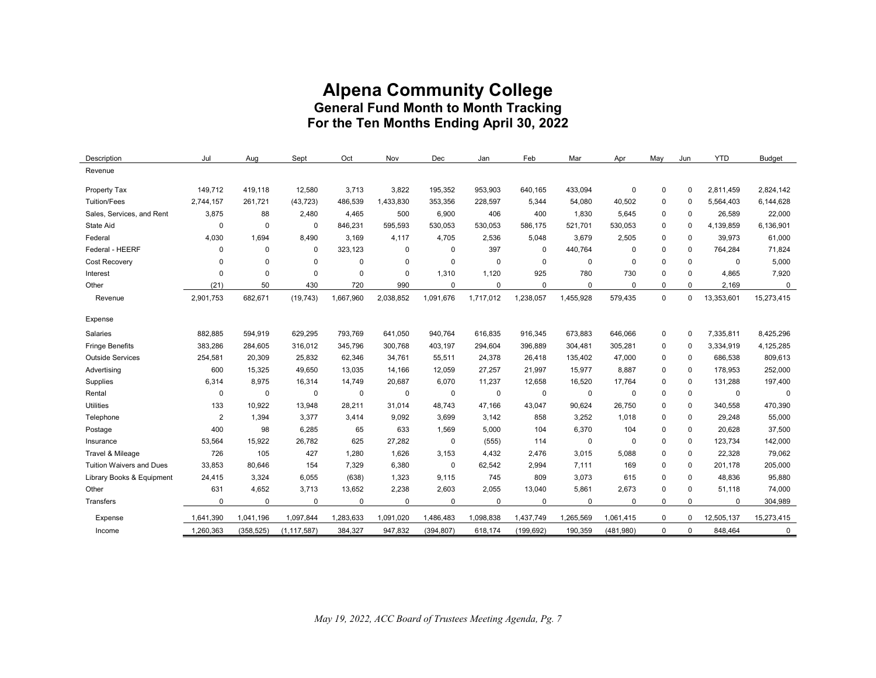# **Alpena Community College General Fund Month to Month Tracking For the Ten Months Ending April 30, 2022**

| Description                     | Jul            | Aug         | Sept          | Oct         | Nov         | Dec         | Jan         | Feb         | Mar       | Apr         | May          | Jun         | <b>YTD</b>  | <b>Budget</b> |
|---------------------------------|----------------|-------------|---------------|-------------|-------------|-------------|-------------|-------------|-----------|-------------|--------------|-------------|-------------|---------------|
| Revenue                         |                |             |               |             |             |             |             |             |           |             |              |             |             |               |
| Property Tax                    | 149.712        | 419.118     | 12,580        | 3,713       | 3.822       | 195,352     | 953,903     | 640,165     | 433,094   | $\mathbf 0$ | $\mathbf 0$  | $\mathbf 0$ | 2,811,459   | 2,824,142     |
| <b>Tuition/Fees</b>             | 2,744,157      | 261,721     | (43, 723)     | 486,539     | 1,433,830   | 353,356     | 228,597     | 5,344       | 54,080    | 40,502      | 0            | $\mathbf 0$ | 5,564,403   | 6,144,628     |
| Sales, Services, and Rent       | 3,875          | 88          | 2,480         | 4,465       | 500         | 6,900       | 406         | 400         | 1,830     | 5,645       | 0            | 0           | 26,589      | 22,000        |
| <b>State Aid</b>                | $\mathbf 0$    | $\mathbf 0$ | $\mathbf 0$   | 846,231     | 595,593     | 530,053     | 530,053     | 586,175     | 521,701   | 530,053     | 0            | $\mathbf 0$ | 4,139,859   | 6,136,901     |
| Federal                         | 4,030          | 1,694       | 8,490         | 3,169       | 4,117       | 4,705       | 2,536       | 5,048       | 3,679     | 2,505       | $\mathbf 0$  | $\mathbf 0$ | 39,973      | 61,000        |
| Federal - HEERF                 | $\mathbf 0$    | $\Omega$    | $\mathbf 0$   | 323,123     | $\mathbf 0$ | $\mathbf 0$ | 397         | $\mathbf 0$ | 440,764   | $\mathbf 0$ | $\mathbf 0$  | $\mathbf 0$ | 764,284     | 71,824        |
| Cost Recovery                   | $\mathbf 0$    | $\Omega$    | $\mathbf 0$   | $\Omega$    | $\Omega$    | $\mathbf 0$ | $\Omega$    | $\mathbf 0$ | 0         | $\Omega$    | $\mathbf 0$  | $\Omega$    | $\mathbf 0$ | 5,000         |
| Interest                        | $\mathbf 0$    | $\mathbf 0$ | $\mathbf 0$   | $\mathbf 0$ | 0           | 1,310       | 1,120       | 925         | 780       | 730         | 0            | 0           | 4,865       | 7,920         |
| Other                           | (21)           | 50          | 430           | 720         | 990         | $\Omega$    | $\Omega$    | $\mathbf 0$ | 0         | $\mathbf 0$ | $\mathbf 0$  | $\Omega$    | 2,169       | 0             |
| Revenue                         | 2,901,753      | 682,671     | (19, 743)     | 1,667,960   | 2,038,852   | 1,091,676   | 1.717.012   | 1,238,057   | 1,455,928 | 579,435     | $\mathbf{0}$ | $\mathbf 0$ | 13,353,601  | 15,273,415    |
| Expense                         |                |             |               |             |             |             |             |             |           |             |              |             |             |               |
| Salaries                        | 882,885        | 594,919     | 629,295       | 793,769     | 641,050     | 940,764     | 616,835     | 916,345     | 673,883   | 646,066     | $\mathbf 0$  | $\mathbf 0$ | 7,335,811   | 8,425,296     |
| <b>Fringe Benefits</b>          | 383,286        | 284,605     | 316,012       | 345,796     | 300,768     | 403,197     | 294,604     | 396,889     | 304,481   | 305,281     | 0            | 0           | 3,334,919   | 4,125,285     |
| <b>Outside Services</b>         | 254,581        | 20,309      | 25,832        | 62,346      | 34,761      | 55,511      | 24,378      | 26,418      | 135,402   | 47,000      | 0            | $\mathbf 0$ | 686,538     | 809,613       |
| Advertising                     | 600            | 15,325      | 49,650        | 13,035      | 14,166      | 12,059      | 27,257      | 21,997      | 15,977    | 8,887       | 0            | 0           | 178,953     | 252,000       |
| Supplies                        | 6,314          | 8,975       | 16,314        | 14,749      | 20,687      | 6,070       | 11,237      | 12,658      | 16,520    | 17,764      | $\mathbf 0$  | $\mathbf 0$ | 131,288     | 197,400       |
| Rental                          | $\pmb{0}$      | $\pmb{0}$   | $\mathbf 0$   | $\mathbf 0$ | $\mathbf 0$ | 0           | 0           | $\mathbf 0$ | 0         | $\mathbf 0$ | $\Omega$     | $\mathbf 0$ | $\mathbf 0$ | 0             |
| <b>Utilities</b>                | 133            | 10,922      | 13,948        | 28,211      | 31.014      | 48,743      | 47,166      | 43,047      | 90,624    | 26,750      | $\mathbf 0$  | $\mathbf 0$ | 340,558     | 470,390       |
| Telephone                       | $\overline{2}$ | 1,394       | 3,377         | 3,414       | 9,092       | 3,699       | 3,142       | 858         | 3,252     | 1,018       | 0            | $\mathbf 0$ | 29,248      | 55,000        |
| Postage                         | 400            | 98          | 6,285         | 65          | 633         | 1,569       | 5,000       | 104         | 6,370     | 104         | $\mathbf 0$  | $\mathbf 0$ | 20,628      | 37,500        |
| Insurance                       | 53,564         | 15,922      | 26,782        | 625         | 27,282      | 0           | (555)       | 114         | 0         | $\mathbf 0$ | 0            | $\Omega$    | 123,734     | 142,000       |
| Travel & Mileage                | 726            | 105         | 427           | 1,280       | 1,626       | 3,153       | 4,432       | 2,476       | 3,015     | 5.088       | $\mathbf 0$  | $\mathbf 0$ | 22,328      | 79,062        |
| <b>Tuition Waivers and Dues</b> | 33,853         | 80,646      | 154           | 7,329       | 6,380       | $\mathbf 0$ | 62,542      | 2,994       | 7,111     | 169         | $\Omega$     | $\Omega$    | 201,178     | 205,000       |
| Library Books & Equipment       | 24,415         | 3,324       | 6,055         | (638)       | 1,323       | 9,115       | 745         | 809         | 3,073     | 615         | 0            | $\Omega$    | 48,836      | 95,880        |
| Other                           | 631            | 4,652       | 3,713         | 13,652      | 2,238       | 2,603       | 2,055       | 13,040      | 5,861     | 2,673       | $\Omega$     | $\Omega$    | 51,118      | 74,000        |
| Transfers                       | $\mathbf 0$    | $\mathbf 0$ | $\mathbf 0$   | 0           | 0           | 0           | $\mathbf 0$ | 0           | 0         | $\mathbf 0$ | 0            | $\mathbf 0$ | $\mathbf 0$ | 304,989       |
| Expense                         | 1,641,390      | 1,041,196   | 1,097,844     | 1,283,633   | 1,091,020   | 1,486,483   | 1,098,838   | 1,437,749   | 1,265,569 | 1,061,415   | $\mathbf 0$  | $\Omega$    | 12,505,137  | 15,273,415    |
| Income                          | 1,260,363      | (358, 525)  | (1, 117, 587) | 384,327     | 947,832     | (394, 807)  | 618,174     | (199, 692)  | 190,359   | (481,980)   | $\mathbf 0$  | $\Omega$    | 848,464     | $\mathbf 0$   |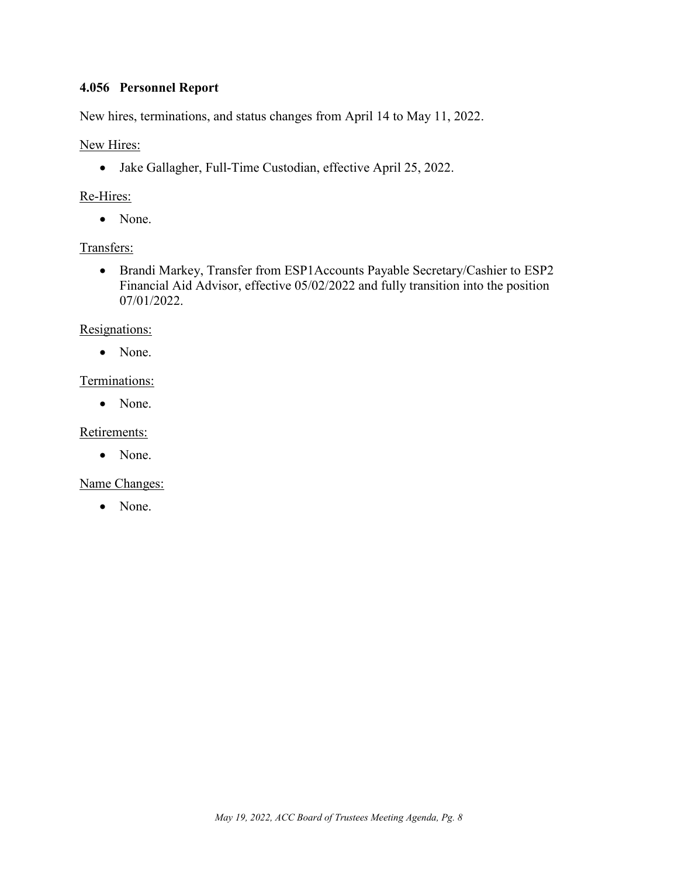### <span id="page-8-0"></span>**4.056 Personnel Report**

New hires, terminations, and status changes from April 14 to May 11, 2022.

New Hires:

• Jake Gallagher, Full-Time Custodian, effective April 25, 2022.

### Re-Hires:

• None.

### Transfers:

• Brandi Markey, Transfer from ESP1Accounts Payable Secretary/Cashier to ESP2 Financial Aid Advisor, effective 05/02/2022 and fully transition into the position 07/01/2022.

### Resignations:

• None.

### Terminations:

• None.

Retirements:

• None.

Name Changes:

• None.